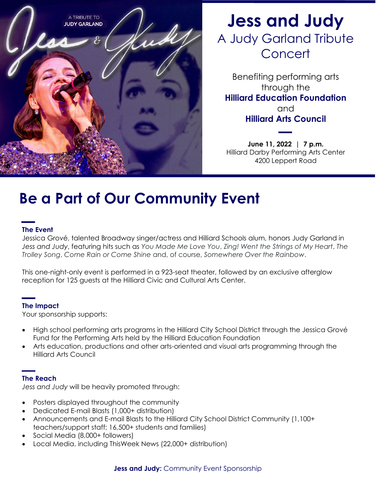

# **Jess and Judy** A Judy Garland Tribute **Concert**

Benefiting performing arts through the **Hilliard Education Foundation** and **Hilliard Arts Council**

**June 11, 2022 | 7 p.m.** Hilliard Darby Performing Arts Center 4200 Leppert Road

# **Be a Part of Our Community Event**

### **The Event**

Jessica Grové, talented Broadway singer/actress and Hilliard Schools alum, honors Judy Garland in *Jess and Judy*, featuring hits such as *You Made Me Love You*, *Zing! Went the Strings of My Heart*, *The Trolley Song*, *Come Rain or Come Shine* and, of course, *Somewhere Over the Rainbow*.

This one-night-only event is performed in a 923-seat theater, followed by an exclusive afterglow reception for 125 guests at the Hilliard Civic and Cultural Arts Center.

### **The Impact**

Your sponsorship supports:

- High school performing arts programs in the Hilliard City School District through the Jessica Grové Fund for the Performing Arts held by the Hilliard Education Foundation
- Arts education, productions and other arts-oriented and visual arts programming through the Hilliard Arts Council

### **The Reach**

*Jess and Judy* will be heavily promoted through:

- Posters displayed throughout the community
- Dedicated E-mail Blasts (1,000+ distribution)
- Announcements and E-mail Blasts to the Hilliard City School District Community (1,100+ teachers/support staff; 16,500+ students and families)
- Social Media (8,000+ followers)
- Local Media. including ThisWeek News (22,000+ distribution)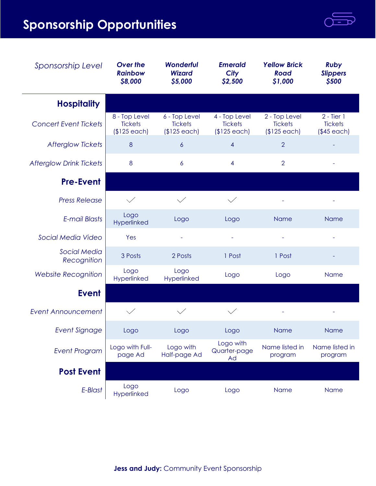# **Sponsorship Opportunities**

| Sponsorship Level                  | <b>Over the</b><br><b>Rainbow</b><br>\$8,000    | <b>Wonderful</b><br><b>Wizard</b><br>\$5,000    | <b>Emerald</b><br><b>City</b><br>\$2,500        | <b>Yellow Brick</b><br><b>Road</b><br>\$1,000   | <b>Ruby</b><br><b>Slippers</b><br>\$500        |
|------------------------------------|-------------------------------------------------|-------------------------------------------------|-------------------------------------------------|-------------------------------------------------|------------------------------------------------|
| <b>Hospitality</b>                 |                                                 |                                                 |                                                 |                                                 |                                                |
| <b>Concert Event Tickets</b>       | 8 - Top Level<br><b>Tickets</b><br>$$125$ each) | 6 - Top Level<br><b>Tickets</b><br>$$125$ each) | 4 - Top Level<br><b>Tickets</b><br>$$125$ each) | 2 - Top Level<br><b>Tickets</b><br>$$125$ each) | $2 - Tier 1$<br><b>Tickets</b><br>$($45$ each) |
| <b>Afterglow Tickets</b>           | 8                                               | $\boldsymbol{6}$                                | 4                                               | $\overline{2}$                                  |                                                |
| <b>Afterglow Drink Tickets</b>     | 8                                               | 6                                               | 4                                               | $\overline{2}$                                  |                                                |
| <b>Pre-Event</b>                   |                                                 |                                                 |                                                 |                                                 |                                                |
| <b>Press Release</b>               |                                                 |                                                 |                                                 |                                                 |                                                |
| <b>E-mail Blasts</b>               | Logo<br>Hyperlinked                             | Logo                                            | Logo                                            | <b>Name</b>                                     | <b>Name</b>                                    |
| Social Media Video                 | Yes                                             |                                                 | $\overline{\phantom{a}}$                        |                                                 |                                                |
| <b>Social Media</b><br>Recognition | 3 Posts                                         | 2 Posts                                         | 1 Post                                          | 1 Post                                          |                                                |
| <b>Website Recognition</b>         | Logo<br>Hyperlinked                             | Logo<br>Hyperlinked                             | Logo                                            | Logo                                            | <b>Name</b>                                    |
| <b>Event</b>                       |                                                 |                                                 |                                                 |                                                 |                                                |
| <b>Event Announcement</b>          |                                                 |                                                 |                                                 |                                                 |                                                |
| <b>Event Signage</b>               | Logo                                            | Logo                                            | Logo                                            | Name                                            | <b>Name</b>                                    |
| <b>Event Program</b>               | Logo with Full-<br>page Ad                      | Logo with<br>Half-page Ad                       | Logo with<br>Quarter-page<br>Ad                 | Name listed in<br>program                       | Name listed in<br>program                      |
| <b>Post Event</b>                  |                                                 |                                                 |                                                 |                                                 |                                                |
| E-Blast                            | Logo<br>Hyperlinked                             | Logo                                            | Logo                                            | Name                                            | Name                                           |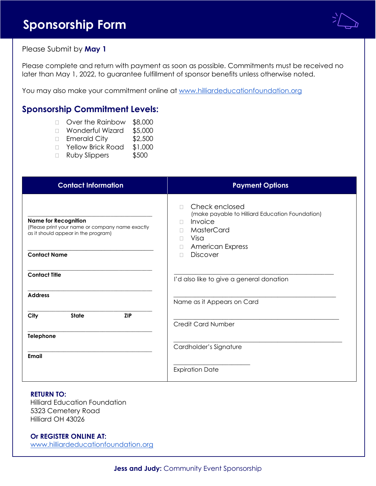## **Sponsorship Form**



Please Submit by **May 1**

Please complete and return with payment as soon as possible. Commitments must be received no later than May 1, 2022, to guarantee fulfillment of sponsor benefits unless otherwise noted.

You may also make your commitment online at www.hilliardeducationfoundation.org

## **Sponsorship Commitment Levels:**

- □ Over the Rainbow \$8,000
- □ Wonderful Wizard \$5,000
- □ Emerald City \$2,500
- □ Yellow Brick Road \$1,000
- Ruby Slippers \$500

| <b>Contact Information</b>                                                                                                                   | <b>Payment Options</b>                                                                                                                                                    |  |  |  |
|----------------------------------------------------------------------------------------------------------------------------------------------|---------------------------------------------------------------------------------------------------------------------------------------------------------------------------|--|--|--|
| <b>Name for Recognition</b><br>(Please print your name or company name exactly<br>as it should appear in the program)<br><b>Contact Name</b> | Check enclosed<br>(make payable to Hilliard Education Foundation)<br>Invoice<br>П<br>MasterCard<br>П<br>Visa<br>$\Box$<br><b>American Express</b><br>П<br><b>Discover</b> |  |  |  |
| <b>Contact Title</b>                                                                                                                         | I'd also like to give a general donation                                                                                                                                  |  |  |  |
| <b>Address</b>                                                                                                                               | Name as it Appears on Card                                                                                                                                                |  |  |  |
| <b>State</b><br><b>ZIP</b><br>City<br>Telephone                                                                                              | <b>Credit Card Number</b>                                                                                                                                                 |  |  |  |
| <b>Email</b>                                                                                                                                 | Cardholder's Signature                                                                                                                                                    |  |  |  |
|                                                                                                                                              | <b>Expiration Date</b>                                                                                                                                                    |  |  |  |

#### **RETURN TO:**

Hilliard Education Foundation 5323 Cemetery Road Hilliard OH 43026

### **Or REGISTER ONLINE AT:**

www.hilliardeducationfoundation.org